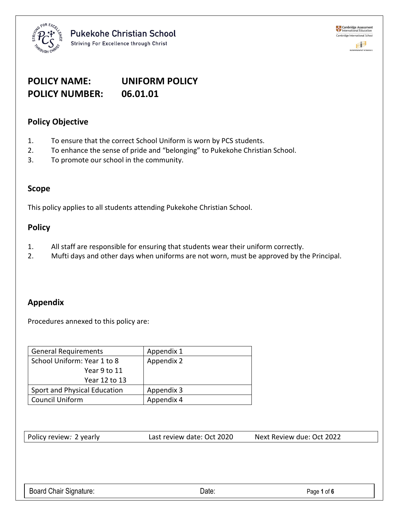

# **POLICY NAME: UNIFORM POLICY POLICY NUMBER: 06.01.01**

# **Policy Objective**

- 1. To ensure that the correct School Uniform is worn by PCS students.
- 2. To enhance the sense of pride and "belonging" to Pukekohe Christian School.
- 3. To promote our school in the community.

# **Scope**

This policy applies to all students attending Pukekohe Christian School.

# **Policy**

- 1. All staff are responsible for ensuring that students wear their uniform correctly.
- 2. Mufti days and other days when uniforms are not worn, must be approved by the Principal.

# **Appendix**

Procedures annexed to this policy are:

| <b>General Requirements</b>  | Appendix 1 |
|------------------------------|------------|
| School Uniform: Year 1 to 8  | Appendix 2 |
| Year 9 to 11                 |            |
| Year 12 to 13                |            |
| Sport and Physical Education | Appendix 3 |
| Council Uniform              | Appendix 4 |

Policy review*:* 2 yearlyLast review date: Oct 2020 Next Review due: Oct 2022

Board Chair Signature: **Example 2018** Date: **Page 1** of **6** Date: **Page 1** of **6**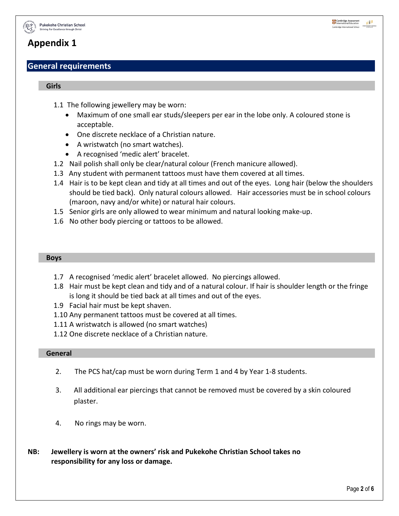

# **General requirements**

#### **Girls**

- 1.1 The following jewellery may be worn:
	- Maximum of one small ear studs/sleepers per ear in the lobe only. A coloured stone is acceptable.
	- One discrete necklace of a Christian nature.
	- A wristwatch (no smart watches).
	- A recognised 'medic alert' bracelet.
- 1.2 Nail polish shall only be clear/natural colour (French manicure allowed).
- 1.3 Any student with permanent tattoos must have them covered at all times.
- 1.4 Hair is to be kept clean and tidy at all times and out of the eyes. Long hair (below the shoulders should be tied back). Only natural colours allowed. Hair accessories must be in school colours (maroon, navy and/or white) or natural hair colours.
- 1.5 Senior girls are only allowed to wear minimum and natural looking make-up.
- 1.6 No other body piercing or tattoos to be allowed.

#### **Boys**

- 1.7 A recognised 'medic alert' bracelet allowed. No piercings allowed.
- 1.8 Hair must be kept clean and tidy and of a natural colour. If hair is shoulder length or the fringe is long it should be tied back at all times and out of the eyes.
- 1.9 Facial hair must be kept shaven.
- 1.10 Any permanent tattoos must be covered at all times.
- 1.11 A wristwatch is allowed (no smart watches)
- 1.12 One discrete necklace of a Christian nature.

#### **General**

- 2. The PCS hat/cap must be worn during Term 1 and 4 by Year 1-8 students.
- 3. All additional ear piercings that cannot be removed must be covered by a skin coloured plaster.
- 4. No rings may be worn.
- **NB: Jewellery is worn at the owners' risk and Pukekohe Christian School takes no responsibility for any loss or damage.**

Cambridge Assessment

印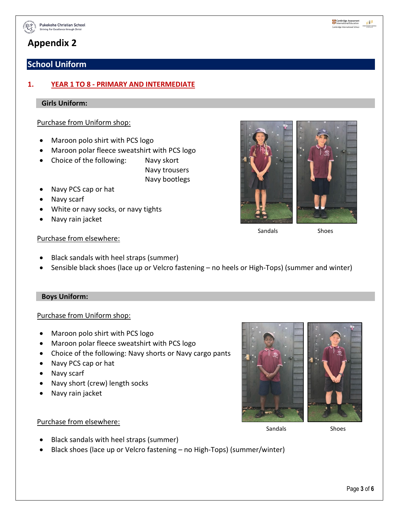

# **School Uniform**

# **1. YEAR 1 TO 8 - PRIMARY AND INTERMEDIATE**

## **Girls Uniform:**

## Purchase from Uniform shop:

- Maroon polo shirt with PCS logo
- Maroon polar fleece sweatshirt with PCS logo
- Choice of the following: Navy skort
	- Navy trousers Navy bootlegs
- Navy PCS cap or hat
- Navy scarf
- White or navy socks, or navy tights
- Navy rain jacket



Sandals Shoes

#### Purchase from elsewhere:

- Black sandals with heel straps (summer)
- Sensible black shoes (lace up or Velcro fastening no heels or High-Tops) (summer and winter)

#### **Boys Uniform:**

## Purchase from Uniform shop:

- Maroon polo shirt with PCS logo
- Maroon polar fleece sweatshirt with PCS logo
- Choice of the following: Navy shorts or Navy cargo pants
- Navy PCS cap or hat
- Navy scarf
- Navy short (crew) length socks
- Navy rain jacket



#### Purchase from elsewhere:

Sandals Shoes

- Black sandals with heel straps (summer)
- Black shoes (lace up or Velcro fastening no High-Tops) (summer/winter)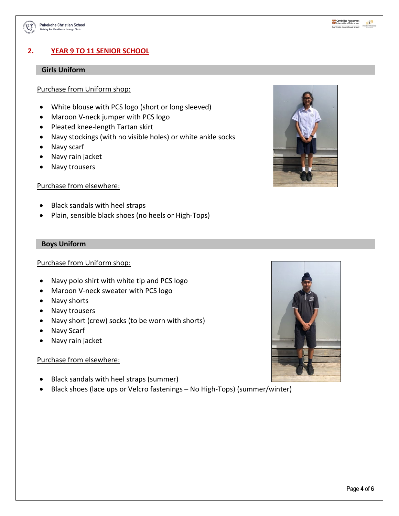

# **2. YEAR 9 TO 11 SENIOR SCHOOL**

## **Girls Uniform**

## Purchase from Uniform shop:

- White blouse with PCS logo (short or long sleeved)
- Maroon V-neck jumper with PCS logo
- Pleated knee-length Tartan skirt
- Navy stockings (with no visible holes) or white ankle socks
- Navy scarf
- Navy rain jacket
- Navy trousers

#### Purchase from elsewhere:

- Black sandals with heel straps
- Plain, sensible black shoes (no heels or High-Tops)

#### **Boys Uniform**

# Purchase from Uniform shop:

- Navy polo shirt with white tip and PCS logo
- Maroon V-neck sweater with PCS logo
- Navy shorts
- Navy trousers
- Navy short (crew) socks (to be worn with shorts)
- Navy Scarf
- Navy rain jacket

## Purchase from elsewhere:

- Black sandals with heel straps (summer)
- Black shoes (lace ups or Velcro fastenings No High-Tops) (summer/winter)



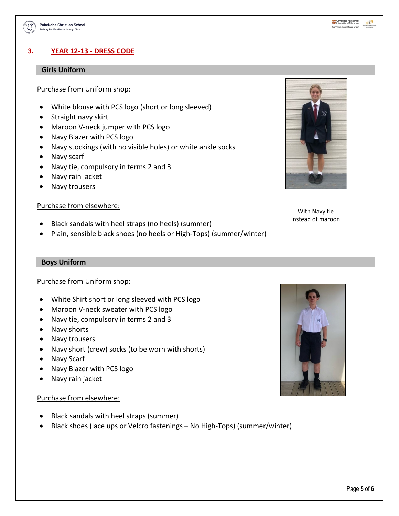

# **3. YEAR 12-13 - DRESS CODE**

#### **Girls Uniform**

#### Purchase from Uniform shop:

- White blouse with PCS logo (short or long sleeved)
- Straight navy skirt
- Maroon V-neck jumper with PCS logo
- Navy Blazer with PCS logo
- Navy stockings (with no visible holes) or white ankle socks
- Navy scarf
- Navy tie, compulsory in terms 2 and 3
- Navy rain jacket
- Navy trousers

#### Purchase from elsewhere:

- Black sandals with heel straps (no heels) (summer)
- Plain, sensible black shoes (no heels or High-Tops) (summer/winter)



With Navy tie instead of maroon

#### **Boys Uniform**

#### Purchase from Uniform shop:

- White Shirt short or long sleeved with PCS logo
- Maroon V-neck sweater with PCS logo
- Navy tie, compulsory in terms 2 and 3
- Navy shorts
- Navy trousers
- Navy short (crew) socks (to be worn with shorts)
- Navy Scarf
- Navy Blazer with PCS logo
- Navy rain jacket

#### Purchase from elsewhere:

- Black sandals with heel straps (summer)
- Black shoes (lace ups or Velcro fastenings No High-Tops) (summer/winter)